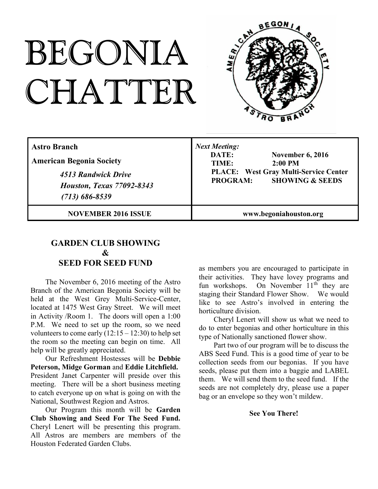# BEGONIA CHATTER



| <b>Astro Branch</b><br><b>American Begonia Society</b><br>4513 Randwick Drive<br><b>Houston, Texas 77092-8343</b><br>$(713) 686 - 8539$ | <b>Next Meeting:</b><br>DATE:<br><b>November 6, 2016</b><br>$2:00$ PM<br>TIME:<br><b>PLACE:</b> West Gray Multi-Service Center<br><b>SHOWING &amp; SEEDS</b><br><b>PROGRAM:</b> |
|-----------------------------------------------------------------------------------------------------------------------------------------|---------------------------------------------------------------------------------------------------------------------------------------------------------------------------------|
| <b>NOVEMBER 2016 ISSUE</b>                                                                                                              | www.begoniahouston.org                                                                                                                                                          |

## **GARDEN CLUB SHOWING & SEED FOR SEED FUND**

The November 6, 2016 meeting of the Astro Branch of the American Begonia Society will be held at the West Grey Multi-Service-Center, located at 1475 West Gray Street. We will meet in Activity /Room 1. The doors will open a 1:00 P.M. We need to set up the room, so we need volunteers to come early  $(12:15 - 12:30)$  to help set the room so the meeting can begin on time. All help will be greatly appreciated.

Our Refreshment Hostesses will be **Debbie Peterson, Midge Gorman** and **Eddie Litchfield.** President Janet Carpenter will preside over this meeting. There will be a short business meeting to catch everyone up on what is going on with the National, Southwest Region and Astros.

Our Program this month will be **Garden Club Showing and Seed For The Seed Fund.** Cheryl Lenert will be presenting this program. All Astros are members are members of the Houston Federated Garden Clubs.

as members you are encouraged to participate in their activities. They have lovey programs and fun workshops. On November 11<sup>th</sup> they are staging their Standard Flower Show. We would like to see Astro's involved in entering the horticulture division.

Cheryl Lenert will show us what we need to do to enter begonias and other horticulture in this type of Nationally sanctioned flower show.

Part two of our program will be to discuss the ABS Seed Fund. This is a good time of year to be collection seeds from our begonias. If you have seeds, please put them into a baggie and LABEL them. We will send them to the seed fund. If the seeds are not completely dry, please use a paper bag or an envelope so they won't mildew.

### **See You There!**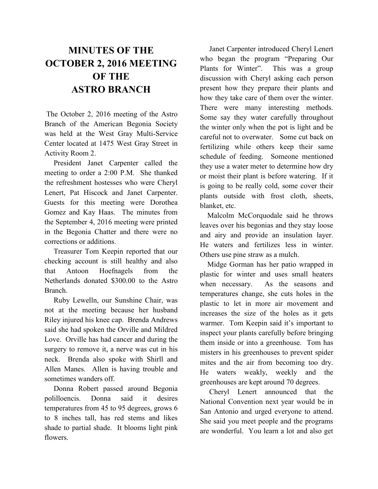# **MINUTES OF THE OCTOBER 2, 2016 MEETING OF THE ASTRO BRANCH**

The October 2, 2016 meeting of the Astro Branch of the American Begonia Society was held at the West Gray Multi-Service Center located at 1475 West Gray Street in Activity Room 2.

President Janet Carpenter called the meeting to order a 2:00 P.M. She thanked the refreshment hostesses who were Cheryl Lenert, Pat Hiscock and Janet Carpenter. Guests for this meeting were Dorothea Gomez and Kay Haas. The minutes from the September 4, 2016 meeting were printed in the Begonia Chatter and there were no corrections or additions.

Treasurer Tom Keepin reported that our checking account is still healthy and also that Antoon Hoefnagels from the Netherlands donated \$300.00 to the Astro Branch.

Ruby Lewelln, our Sunshine Chair, was not at the meeting because her husband Riley injured his knee cap. Brenda Andrews said she had spoken the Orville and Mildred Love. Orville has had cancer and during the surgery to remove it, a nerve was cut in his neck. Brenda also spoke with Shirll and Allen Manes. Allen is having trouble and sometimes wanders off.

Donna Robert passed around Begonia polilloencis. Donna said it desires temperatures from 45 to 95 degrees, grows 6 to 8 inches tall, has red stems and likes shade to partial shade. It blooms light pink flowers.

Janet Carpenter introduced Cheryl Lenert who began the program "Preparing Our Plants for Winter". This was a group discussion with Cheryl asking each person present how they prepare their plants and how they take care of them over the winter. There were many interesting methods. Some say they water carefully throughout the winter only when the pot is light and be careful not to overwater. Some cut back on fertilizing while others keep their same schedule of feeding. Someone mentioned they use a water meter to determine how dry or moist their plant is before watering. If it is going to be really cold, some cover their plants outside with frost cloth, sheets, blanket, etc.

Malcolm McCorquodale said he throws leaves over his begonias and they stay loose and airy and provide an insulation layer. He waters and fertilizes less in winter. Others use pine straw as a mulch.

Midge Gorman has her patio wrapped in plastic for winter and uses small heaters when necessary. As the seasons and temperatures change, she cuts holes in the plastic to let in more air movement and increases the size of the holes as it gets warmer. Tom Keepin said it's important to inspect your plants carefully before bringing them inside or into a greenhouse. Tom has misters in his greenhouses to prevent spider mites and the air from becoming too dry. He waters weakly, weekly and the greenhouses are kept around 70 degrees.

Cheryl Lenert announced that the National Convention next year would be in San Antonio and urged everyone to attend. She said you meet people and the programs are wonderful. You learn a lot and also get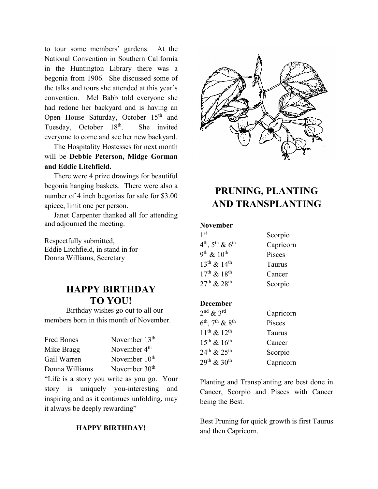to tour some members' gardens. At the National Convention in Southern California in the Huntington Library there was a begonia from 1906. She discussed some of the talks and tours she attended at this year's convention. Mel Babb told everyone she had redone her backyard and is having an Open House Saturday, October 15<sup>th</sup> and Tuesday, October 18<sup>th</sup>. She invited everyone to come and see her new backyard.

The Hospitality Hostesses for next month will be **Debbie Peterson, Midge Gorman and Eddie Litchfield.**

There were 4 prize drawings for beautiful begonia hanging baskets. There were also a number of 4 inch begonias for sale for \$3.00 apiece, limit one per person.

Janet Carpenter thanked all for attending and adjourned the meeting.

Respectfully submitted, Eddie Litchfield, in stand in for Donna Williams, Secretary

## **HAPPY BIRTHDAY TO YOU!**

Birthday wishes go out to all our members born in this month of November.

Fred Bones November 13<sup>th</sup> Mike Bragg November 4<sup>th</sup>

Gail Warren November 10<sup>th</sup>

Donna Williams November 30<sup>th</sup>

"Life is a story you write as you go. Your story is uniquely you-interesting and inspiring and as it continues unfolding, may it always be deeply rewarding"

## **HAPPY BIRTHDAY!**



# **PRUNING, PLANTING AND TRANSPLANTING**

#### **November**

| 1 <sup>st</sup>                                     | Scorpio       |
|-----------------------------------------------------|---------------|
| $4^{\text{th}}$ , $5^{\text{th}}$ & $6^{\text{th}}$ | Capricorn     |
| $9^{th}$ & $10^{th}$                                | Pisces        |
| $13^{th}$ & $14^{th}$                               | <b>Taurus</b> |
| $17^{th}$ & $18^{th}$                               | Cancer        |
| $27^{th}$ & $28^{th}$                               | Scorpio       |

## **December**

| $2nd$ & $3rd$                                       | Capricorn |
|-----------------------------------------------------|-----------|
| $6^{\text{th}}$ , 7 <sup>th</sup> & 8 <sup>th</sup> | Pisces    |
| $11^{th}$ & $12^{th}$                               | Taurus    |
| $15^{th}$ & $16^{th}$                               | Cancer    |
| $24^{\text{th}}$ & $25^{\text{th}}$                 | Scorpio   |
| $29^{th}$ & 30 <sup>th</sup>                        | Capricorn |

Planting and Transplanting are best done in Cancer, Scorpio and Pisces with Cancer being the Best.

Best Pruning for quick growth is first Taurus and then Capricorn.